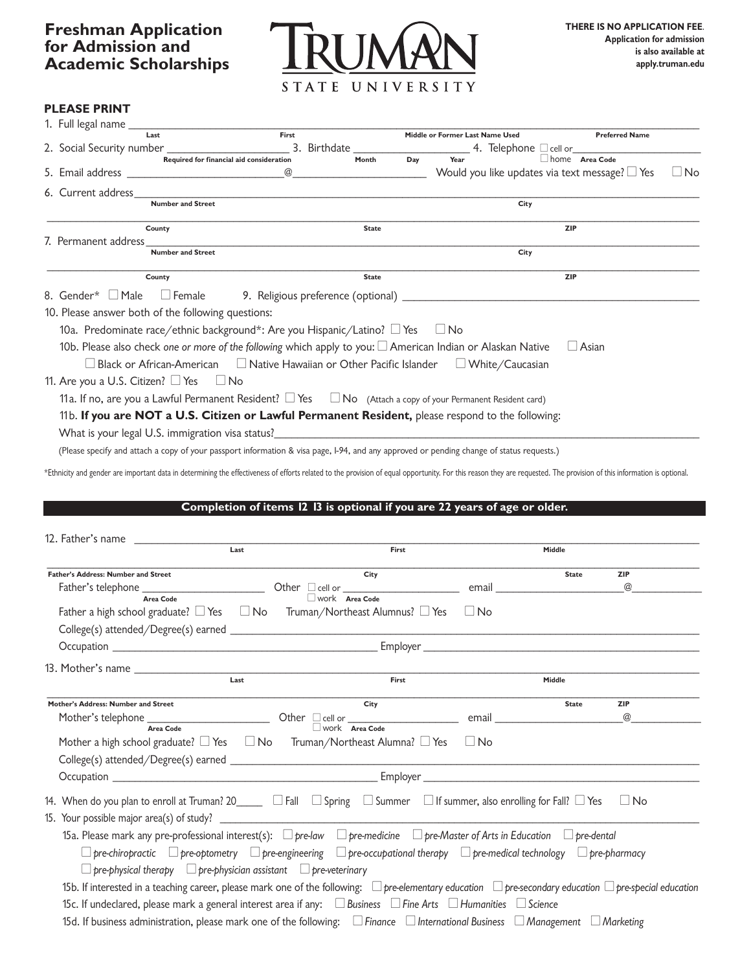

# **PLEASE PRINT**

| First<br><b>Preferred Name</b><br>Middle or Former Last Name Used<br>Last<br>2. Social Security number<br>Required for financial aid consideration<br>Required for financial aid consideration<br>Required for financial aid consideration<br>Required for financial aid consideration<br>Would you like updates via text message? $\Box$ Yes<br>6. Current address<br><b>Number and Street</b><br>City<br>County<br><b>ZIP</b><br><b>State</b><br>7. Permanent address<br><b>Number and Street</b><br>City<br><b>ZIP</b><br>County<br><b>State</b><br>8. Gender* $\Box$ Male<br>10. Please answer both of the following questions:<br>10a. Predominate race/ethnic background*: Are you Hispanic/Latino? □ Yes □ No<br>10b. Please also check one or more of the following which apply to you: $\square$ American Indian or Alaskan Native<br>$\Box$ Asian<br>$\Box$ Black or African-American $\Box$ Native Hawaiian or Other Pacific Islander $\Box$ White/Caucasian<br>11. Are you a U.S. Citizen? $\Box$ Yes $\Box$ No<br>11a. If no, are you a Lawful Permanent Resident? $\Box$ Yes $\Box$ No (Attach a copy of your Permanent Resident card)<br>11b. If you are NOT a U.S. Citizen or Lawful Permanent Resident, please respond to the following:<br>What is your legal U.S. immigration visa status? Notified the control of the control of the control of the control of the control of the control of the control of the control of the control of the control of the control of | 1. Full legal name ______ |  |  |  |  |
|---------------------------------------------------------------------------------------------------------------------------------------------------------------------------------------------------------------------------------------------------------------------------------------------------------------------------------------------------------------------------------------------------------------------------------------------------------------------------------------------------------------------------------------------------------------------------------------------------------------------------------------------------------------------------------------------------------------------------------------------------------------------------------------------------------------------------------------------------------------------------------------------------------------------------------------------------------------------------------------------------------------------------------------------------------------------------------------------------------------------------------------------------------------------------------------------------------------------------------------------------------------------------------------------------------------------------------------------------------------------------------------------------------------------------------------------------------------------------------------------|---------------------------|--|--|--|--|
| $\Box$ No                                                                                                                                                                                                                                                                                                                                                                                                                                                                                                                                                                                                                                                                                                                                                                                                                                                                                                                                                                                                                                                                                                                                                                                                                                                                                                                                                                                                                                                                                   |                           |  |  |  |  |
|                                                                                                                                                                                                                                                                                                                                                                                                                                                                                                                                                                                                                                                                                                                                                                                                                                                                                                                                                                                                                                                                                                                                                                                                                                                                                                                                                                                                                                                                                             |                           |  |  |  |  |
|                                                                                                                                                                                                                                                                                                                                                                                                                                                                                                                                                                                                                                                                                                                                                                                                                                                                                                                                                                                                                                                                                                                                                                                                                                                                                                                                                                                                                                                                                             |                           |  |  |  |  |
|                                                                                                                                                                                                                                                                                                                                                                                                                                                                                                                                                                                                                                                                                                                                                                                                                                                                                                                                                                                                                                                                                                                                                                                                                                                                                                                                                                                                                                                                                             |                           |  |  |  |  |
|                                                                                                                                                                                                                                                                                                                                                                                                                                                                                                                                                                                                                                                                                                                                                                                                                                                                                                                                                                                                                                                                                                                                                                                                                                                                                                                                                                                                                                                                                             |                           |  |  |  |  |
|                                                                                                                                                                                                                                                                                                                                                                                                                                                                                                                                                                                                                                                                                                                                                                                                                                                                                                                                                                                                                                                                                                                                                                                                                                                                                                                                                                                                                                                                                             |                           |  |  |  |  |
|                                                                                                                                                                                                                                                                                                                                                                                                                                                                                                                                                                                                                                                                                                                                                                                                                                                                                                                                                                                                                                                                                                                                                                                                                                                                                                                                                                                                                                                                                             |                           |  |  |  |  |
|                                                                                                                                                                                                                                                                                                                                                                                                                                                                                                                                                                                                                                                                                                                                                                                                                                                                                                                                                                                                                                                                                                                                                                                                                                                                                                                                                                                                                                                                                             |                           |  |  |  |  |
|                                                                                                                                                                                                                                                                                                                                                                                                                                                                                                                                                                                                                                                                                                                                                                                                                                                                                                                                                                                                                                                                                                                                                                                                                                                                                                                                                                                                                                                                                             |                           |  |  |  |  |
|                                                                                                                                                                                                                                                                                                                                                                                                                                                                                                                                                                                                                                                                                                                                                                                                                                                                                                                                                                                                                                                                                                                                                                                                                                                                                                                                                                                                                                                                                             |                           |  |  |  |  |
|                                                                                                                                                                                                                                                                                                                                                                                                                                                                                                                                                                                                                                                                                                                                                                                                                                                                                                                                                                                                                                                                                                                                                                                                                                                                                                                                                                                                                                                                                             |                           |  |  |  |  |
|                                                                                                                                                                                                                                                                                                                                                                                                                                                                                                                                                                                                                                                                                                                                                                                                                                                                                                                                                                                                                                                                                                                                                                                                                                                                                                                                                                                                                                                                                             |                           |  |  |  |  |
|                                                                                                                                                                                                                                                                                                                                                                                                                                                                                                                                                                                                                                                                                                                                                                                                                                                                                                                                                                                                                                                                                                                                                                                                                                                                                                                                                                                                                                                                                             |                           |  |  |  |  |
|                                                                                                                                                                                                                                                                                                                                                                                                                                                                                                                                                                                                                                                                                                                                                                                                                                                                                                                                                                                                                                                                                                                                                                                                                                                                                                                                                                                                                                                                                             |                           |  |  |  |  |
|                                                                                                                                                                                                                                                                                                                                                                                                                                                                                                                                                                                                                                                                                                                                                                                                                                                                                                                                                                                                                                                                                                                                                                                                                                                                                                                                                                                                                                                                                             |                           |  |  |  |  |
|                                                                                                                                                                                                                                                                                                                                                                                                                                                                                                                                                                                                                                                                                                                                                                                                                                                                                                                                                                                                                                                                                                                                                                                                                                                                                                                                                                                                                                                                                             |                           |  |  |  |  |
|                                                                                                                                                                                                                                                                                                                                                                                                                                                                                                                                                                                                                                                                                                                                                                                                                                                                                                                                                                                                                                                                                                                                                                                                                                                                                                                                                                                                                                                                                             |                           |  |  |  |  |
|                                                                                                                                                                                                                                                                                                                                                                                                                                                                                                                                                                                                                                                                                                                                                                                                                                                                                                                                                                                                                                                                                                                                                                                                                                                                                                                                                                                                                                                                                             |                           |  |  |  |  |
|                                                                                                                                                                                                                                                                                                                                                                                                                                                                                                                                                                                                                                                                                                                                                                                                                                                                                                                                                                                                                                                                                                                                                                                                                                                                                                                                                                                                                                                                                             |                           |  |  |  |  |

(Please specify and attach a copy of your passport information & visa page, I-94, and any approved or pending change of status requests.)

\*Ethnicity and gender are important data in determining the effectiveness of efforts related to the provision of equal opportunity. For this reason they are requested. The provision of this information is optional.

#### **- Completion of items 12 13 is optional if you are 22 years of age or older.**

| 12. Father's name                                                                                                                                                                                                              |      |                                                                                                                                                       |                                                                                                               |              |            |
|--------------------------------------------------------------------------------------------------------------------------------------------------------------------------------------------------------------------------------|------|-------------------------------------------------------------------------------------------------------------------------------------------------------|---------------------------------------------------------------------------------------------------------------|--------------|------------|
|                                                                                                                                                                                                                                | Last | First                                                                                                                                                 |                                                                                                               | Middle       |            |
| <b>Father's Address: Number and Street</b>                                                                                                                                                                                     |      | City                                                                                                                                                  |                                                                                                               | <b>State</b> | <b>ZIP</b> |
|                                                                                                                                                                                                                                |      |                                                                                                                                                       | email and the contract of the contract of the contract of the contract of the contract of the contract of the |              | @          |
| Area Code                                                                                                                                                                                                                      |      | Work Area Code                                                                                                                                        |                                                                                                               |              |            |
| Father a high school graduate? $\square$ Yes $\square$ No Truman/Northeast Alumnus? $\square$ Yes                                                                                                                              |      |                                                                                                                                                       | ∣ No                                                                                                          |              |            |
|                                                                                                                                                                                                                                |      |                                                                                                                                                       |                                                                                                               |              |            |
| Occupation example and the contract of the contract of the contract of the contract of the contract of the contract of the contract of the contract of the contract of the contract of the contract of the contract of the con |      |                                                                                                                                                       |                                                                                                               |              |            |
|                                                                                                                                                                                                                                |      |                                                                                                                                                       |                                                                                                               |              |            |
|                                                                                                                                                                                                                                |      | First                                                                                                                                                 |                                                                                                               | Middle       |            |
| Mother's Address: Number and Street                                                                                                                                                                                            |      | City                                                                                                                                                  |                                                                                                               | <b>State</b> | <b>ZIP</b> |
|                                                                                                                                                                                                                                |      |                                                                                                                                                       |                                                                                                               |              | @          |
| Mother a high school graduate? $\square$ Yes $\square$ No Truman/Northeast Alumna? $\square$ Yes $\square$ No                                                                                                                  |      |                                                                                                                                                       |                                                                                                               |              |            |
|                                                                                                                                                                                                                                |      |                                                                                                                                                       |                                                                                                               |              |            |
|                                                                                                                                                                                                                                |      |                                                                                                                                                       |                                                                                                               |              |            |
| 14. When do you plan to enroll at Truman? 20______ $\Box$ Fall $\Box$ Spring $\Box$ Summer $\Box$ If summer, also enrolling for Fall? $\Box$ Yes                                                                               |      |                                                                                                                                                       |                                                                                                               |              | ∐ No       |
|                                                                                                                                                                                                                                |      |                                                                                                                                                       |                                                                                                               |              |            |
| 15a. Please mark any pre-professional interest(s): $\Box$ pre-law $\Box$ pre-medicine $\Box$ pre-Master of Arts in Education $\Box$ pre-dental                                                                                 |      |                                                                                                                                                       |                                                                                                               |              |            |
|                                                                                                                                                                                                                                |      | $\Box$ pre-chiropractic $\Box$ pre-optometry $\Box$ pre-engineering $\Box$ pre-occupational therapy $\Box$ pre-medical technology $\Box$ pre-pharmacy |                                                                                                               |              |            |
| $\Box$ pre-physical therapy $\Box$ pre-physician assistant $\Box$ pre-veterinary                                                                                                                                               |      |                                                                                                                                                       |                                                                                                               |              |            |
| 15b. If interested in a teaching career, please mark one of the following: $\Box$ pre-elementary education $\Box$ pre-secondary education $\Box$ pre-special education                                                         |      |                                                                                                                                                       |                                                                                                               |              |            |
| 15c. If undeclared, please mark a general interest area if any: $\Box$ Business $\Box$ Fine Arts $\Box$ Humanities $\Box$ Science                                                                                              |      |                                                                                                                                                       |                                                                                                               |              |            |
| 15d. If business administration, please mark one of the following: $\Box$ Finance $\Box$ International Business $\Box$ Management $\Box$ Marketing                                                                             |      |                                                                                                                                                       |                                                                                                               |              |            |
|                                                                                                                                                                                                                                |      |                                                                                                                                                       |                                                                                                               |              |            |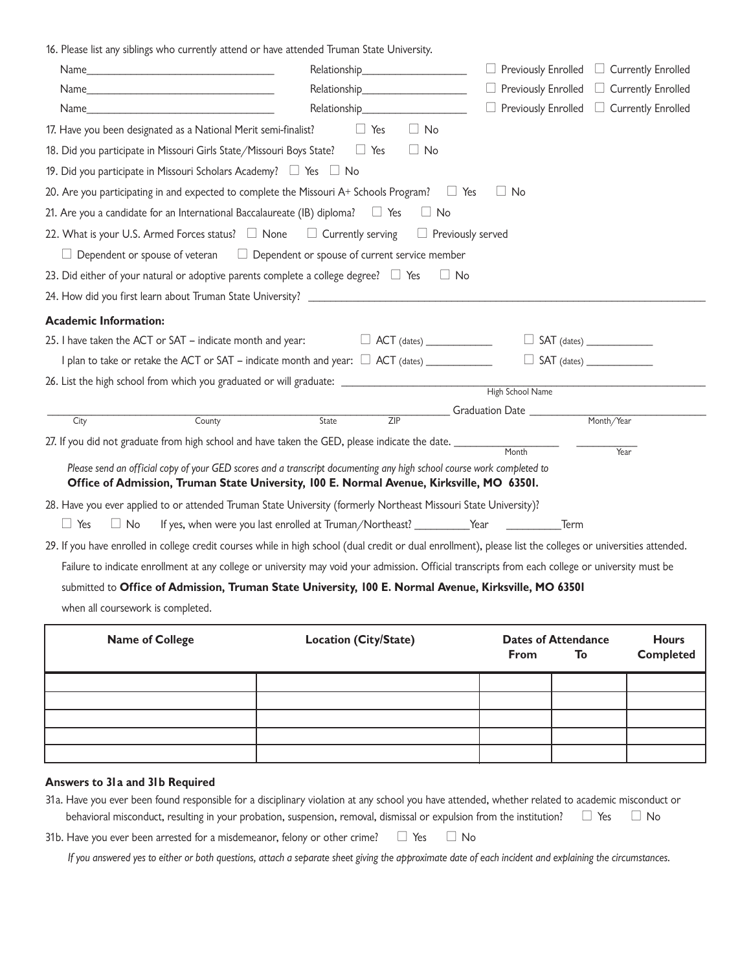16. Please list any siblings who currently attend or have attended Truman State University.

|                                                                                                                                                                                                                    |                                                                                                                                                                                                                                 | $\Box$ Previously Enrolled<br>Currently Enrolled                                                                                                             |
|--------------------------------------------------------------------------------------------------------------------------------------------------------------------------------------------------------------------|---------------------------------------------------------------------------------------------------------------------------------------------------------------------------------------------------------------------------------|--------------------------------------------------------------------------------------------------------------------------------------------------------------|
|                                                                                                                                                                                                                    | Relationship<br>expansion of the state of the state of the state of the state of the state of the state of the state of the state of the state of the state of the state of the state of the state of the state of the state of | $\Box$ Previously Enrolled<br>Currently Enrolled                                                                                                             |
| 17. Have you been designated as a National Merit semi-finalist?                                                                                                                                                    | $\Box$ No<br>$\Box$ Yes                                                                                                                                                                                                         |                                                                                                                                                              |
| 18. Did you participate in Missouri Girls State/Missouri Boys State?<br>Tes                                                                                                                                        | $\Box$ No                                                                                                                                                                                                                       |                                                                                                                                                              |
| 19. Did you participate in Missouri Scholars Academy? $\Box$ Yes $\Box$ No                                                                                                                                         |                                                                                                                                                                                                                                 |                                                                                                                                                              |
| 20. Are you participating in and expected to complete the Missouri A+ Schools Program? $\square$ Yes                                                                                                               |                                                                                                                                                                                                                                 | $\Box$ No                                                                                                                                                    |
| 21. Are you a candidate for an International Baccalaureate (IB) diploma? $\square$ Yes                                                                                                                             | $\Box$ No                                                                                                                                                                                                                       |                                                                                                                                                              |
| 22. What is your U.S. Armed Forces status? $\Box$ None $\Box$ Currently serving                                                                                                                                    |                                                                                                                                                                                                                                 | $\Box$ Previously served                                                                                                                                     |
| $\Box$ Dependent or spouse of veteran                                                                                                                                                                              | $\Box$ Dependent or spouse of current service member                                                                                                                                                                            |                                                                                                                                                              |
| 23. Did either of your natural or adoptive parents complete a college degree? $\Box$ Yes                                                                                                                           |                                                                                                                                                                                                                                 | $\Box$ No                                                                                                                                                    |
|                                                                                                                                                                                                                    |                                                                                                                                                                                                                                 |                                                                                                                                                              |
| <b>Academic Information:</b>                                                                                                                                                                                       |                                                                                                                                                                                                                                 |                                                                                                                                                              |
| 25. I have taken the ACT or SAT - indicate month and year:                                                                                                                                                         | $\Box$ ACT (dates)                                                                                                                                                                                                              |                                                                                                                                                              |
|                                                                                                                                                                                                                    |                                                                                                                                                                                                                                 | $\Box$ SAT (dates) $\Box$                                                                                                                                    |
| 26. List the high school from which you graduated or will graduate: ___________________                                                                                                                            |                                                                                                                                                                                                                                 |                                                                                                                                                              |
|                                                                                                                                                                                                                    |                                                                                                                                                                                                                                 | High School Name                                                                                                                                             |
| County<br>City                                                                                                                                                                                                     | ZIP<br>State                                                                                                                                                                                                                    | Graduation Date<br>Month/Year                                                                                                                                |
| 27. If you did not graduate from high school and have taken the GED, please indicate the date. ________                                                                                                            |                                                                                                                                                                                                                                 | Month<br>Year                                                                                                                                                |
| Please send an official copy of your GED scores and a transcript documenting any high school course work completed to<br>Office of Admission, Truman State University, 100 E. Normal Avenue, Kirksville, MO 63501. |                                                                                                                                                                                                                                 |                                                                                                                                                              |
| 28. Have you ever applied to or attended Truman State University (formerly Northeast Missouri State University)?                                                                                                   |                                                                                                                                                                                                                                 |                                                                                                                                                              |
| $\Box$ Yes<br>$\Box$ No                                                                                                                                                                                            | If yes, when were you last enrolled at Truman/Northeast? __________Year ___________________Term                                                                                                                                 |                                                                                                                                                              |
|                                                                                                                                                                                                                    |                                                                                                                                                                                                                                 | 29. If you have enrolled in college credit courses while in high school (dual credit or dual enrollment), please list the colleges or universities attended. |
|                                                                                                                                                                                                                    |                                                                                                                                                                                                                                 | Failure to indicate enrollment at any college or university may void your admission. Official transcripts from each college or university must be            |
| submitted to Office of Admission, Truman State University, 100 E. Normal Avenue, Kirksville, MO 63501                                                                                                              |                                                                                                                                                                                                                                 |                                                                                                                                                              |
| when all coursework is completed.                                                                                                                                                                                  |                                                                                                                                                                                                                                 |                                                                                                                                                              |
| Name of College                                                                                                                                                                                                    | Location (City/State)                                                                                                                                                                                                           | Dates of Attendance<br>Hours                                                                                                                                 |

| <b>Name of College</b> | Location (City/State) | <b>Dates of Attendance</b> | <b>Hours</b> |                  |
|------------------------|-----------------------|----------------------------|--------------|------------------|
|                        |                       | From                       | To           | <b>Completed</b> |
|                        |                       |                            |              |                  |
|                        |                       |                            |              |                  |
|                        |                       |                            |              |                  |
|                        |                       |                            |              |                  |
|                        |                       |                            |              |                  |
|                        |                       |                            |              |                  |

#### **Answers to 31a and 31b Required**

| 31a. Have you ever been found responsible for a disciplinary violation at any school you have attended, whether related to academic misconduct or |  |  |  |  |  |  |
|---------------------------------------------------------------------------------------------------------------------------------------------------|--|--|--|--|--|--|
| behavioral misconduct, resulting in your probation, suspension, removal, dismissal or expulsion from the institution? $\square$ Yes $\square$ No  |  |  |  |  |  |  |
| 31b. Have you ever been arrested for a misdemeanor, felony or other crime? $\Box$ Yes $\Box$ No                                                   |  |  |  |  |  |  |

If you answered yes to either or both questions, attach a separate sheet giving the approximate date of each incident and explaining the circumstances.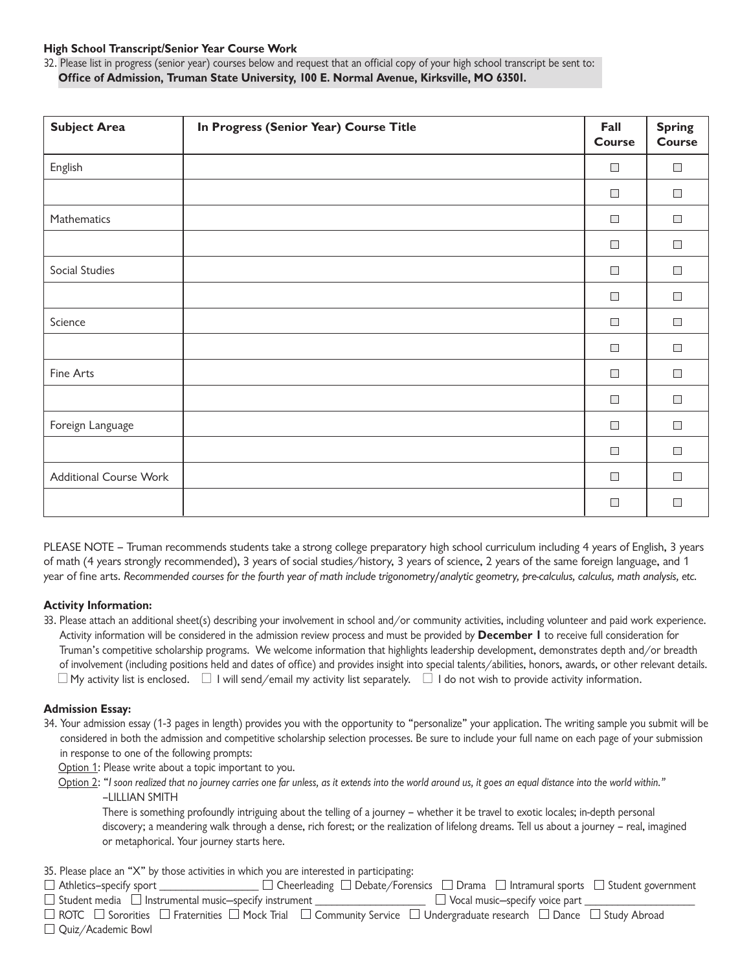### **High School Transcript Senior Year Course Work**

 32. Please list in progress (senior year) courses below and request that an official copy of your high school transcript be sent to:  **Office of Admission, Truman State University, 100 E. Normal Avenue, Kirksville, MO 63501.**

| <b>Subject Area</b>           | In Progress (Senior Year) Course Title | Fall<br><b>Course</b> | <b>Spring</b><br><b>Course</b> |
|-------------------------------|----------------------------------------|-----------------------|--------------------------------|
| English                       |                                        | $\Box$                | $\Box$                         |
|                               |                                        | $\Box$                | $\Box$                         |
| Mathematics                   |                                        | $\Box$                | $\Box$                         |
|                               |                                        | $\Box$                | $\Box$                         |
| Social Studies                |                                        | $\Box$                | $\mathcal{L}_{\mathcal{A}}$    |
|                               |                                        | $\Box$                | $\Box$                         |
| Science                       |                                        | $\Box$                | $\mathcal{L}_{\mathcal{A}}$    |
|                               |                                        | $\Box$                | $\Box$                         |
| Fine Arts                     |                                        | $\Box$                | $\Box$                         |
|                               |                                        | $\Box$                | $\Box$                         |
| Foreign Language              |                                        | $\Box$                | $\Box$                         |
|                               |                                        | $\Box$                | $\Box$                         |
| <b>Additional Course Work</b> |                                        | $\Box$                | $\mathcal{L}_{\mathcal{A}}$    |
|                               |                                        | $\Box$                | $\Box$                         |

PLEASE NOTE – Truman recommends students take a strong college preparatory high school curriculum including 4 years of English, 3 years of math (4 years strongly recommended), 3 years of social studies/history, 3 years of science, 2 years of the same foreign language, and 1 year of fine arts. Recommended courses for the fourth year of math include trigonometry/analytic geometry, pre-calculus, calculus, math analysis, etc.

## **Activity Information:**

 33. Please attach an additional sheet(s) describing your involvement in school and/or community activities including volunteer and paid work experience. Activity information will be considered in the admission review process and must be provided by **December 1** to receive full consideration for Truman's competitive scholarship programs. We welcome information that highlights leadership development, demonstrates depth and/or breadth of involvement (including positions held and dates of office) and provides insight into special talents/abilities, honors, awards, or other relevant details.  $\Box$  My activity list is enclosed.  $\;\Box$  I will send/email my activity list separately.  $\;\Box$  I do not wish to provide activity information.

## **Admission Essay:**

 34. Your admission essay (1-3 pages in length) provides you with the opportunity to "personalize" your application. The writing sample you submit will be considered in both the admission and competitive scholarship selection processes. Be sure to include your full name on each page of your submission in response to one of the following prompts:

<u>Option 1</u>: Please write about a topic important to you.

<u>Option 2</u>: "I soon realized that no journey carries one far unless, as it extends into the world around us, it goes an equal distance into the world within." –LILLIAN SMITH

 There is something profoundly intriguing about the telling of a journey – whether it be travel to exotic locales; in-depth personal discovery; a meandering walk through a dense, rich forest; or the realization of lifelong dreams. Tell us about a journey – real, imagined or metaphorical. Your journey starts here.

35. Please place an "X" by those activities in which you are interested in participating:

| $\Box$ Athletics-specify sport                                    |  |                                       | $\Box$ Cheerleading $\Box$ Debate/Forensics $\Box$ Drama $\Box$ Intramural sports $\Box$ Student government |
|-------------------------------------------------------------------|--|---------------------------------------|-------------------------------------------------------------------------------------------------------------|
| $\Box$ Student media $\Box$ Instrumental music-specify instrument |  | $\Box$ Vocal music-specify voice part |                                                                                                             |

ROTC  $\Box$  Sororities  $\Box$  Fraternities  $\Box$  Mock Trial  $\;\;\Box$  Community Service  $\;\;\Box$  Undergraduate research  $\;\;\Box$  Dance  $\;\;\Box$  Study Abroad □ Quiz/Academic Bowl